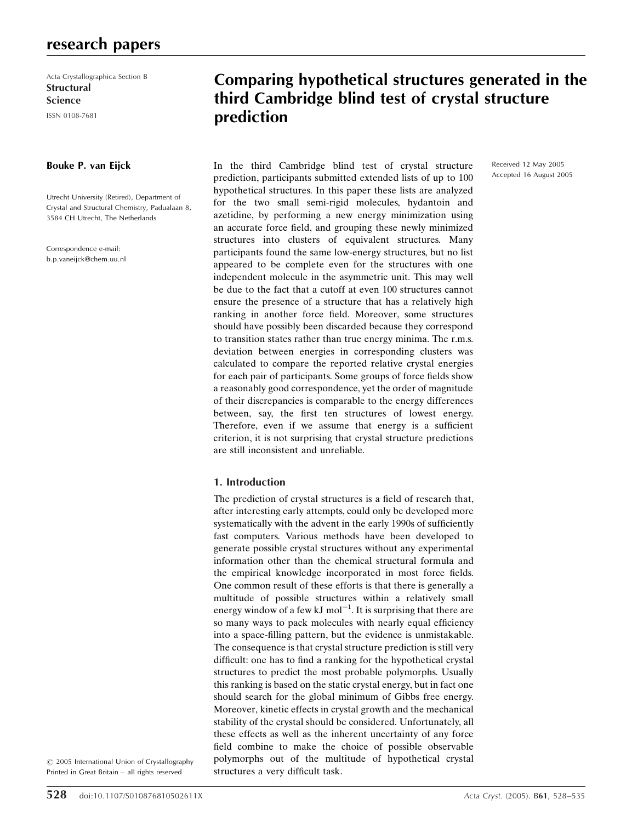## research papers

Acta Crystallographica Section B **Structural** Science ISSN 0108-7681

#### Bouke P. van Eijck

Utrecht University (Retired), Department of Crystal and Structural Chemistry, Padualaan 8, 3584 CH Utrecht, The Netherlands

Correspondence e-mail: b.p.vaneijck@chem.uu.nl

# Comparing hypothetical structures generated in the third Cambridge blind test of crystal structure prediction

In the third Cambridge blind test of crystal structure prediction, participants submitted extended lists of up to 100 hypothetical structures. In this paper these lists are analyzed for the two small semi-rigid molecules, hydantoin and azetidine, by performing a new energy minimization using an accurate force field, and grouping these newly minimized structures into clusters of equivalent structures. Many participants found the same low-energy structures, but no list appeared to be complete even for the structures with one independent molecule in the asymmetric unit. This may well be due to the fact that a cutoff at even 100 structures cannot ensure the presence of a structure that has a relatively high ranking in another force field. Moreover, some structures should have possibly been discarded because they correspond to transition states rather than true energy minima. The r.m.s. deviation between energies in corresponding clusters was calculated to compare the reported relative crystal energies for each pair of participants. Some groups of force fields show a reasonably good correspondence, yet the order of magnitude of their discrepancies is comparable to the energy differences between, say, the first ten structures of lowest energy. Therefore, even if we assume that energy is a sufficient criterion, it is not surprising that crystal structure predictions are still inconsistent and unreliable.

## 1. Introduction

The prediction of crystal structures is a field of research that, after interesting early attempts, could only be developed more systematically with the advent in the early 1990s of sufficiently fast computers. Various methods have been developed to generate possible crystal structures without any experimental information other than the chemical structural formula and the empirical knowledge incorporated in most force fields. One common result of these efforts is that there is generally a multitude of possible structures within a relatively small energy window of a few kJ mol<sup>-1</sup>. It is surprising that there are so many ways to pack molecules with nearly equal efficiency into a space-filling pattern, but the evidence is unmistakable. The consequence is that crystal structure prediction is still very difficult: one has to find a ranking for the hypothetical crystal structures to predict the most probable polymorphs. Usually this ranking is based on the static crystal energy, but in fact one should search for the global minimum of Gibbs free energy. Moreover, kinetic effects in crystal growth and the mechanical stability of the crystal should be considered. Unfortunately, all these effects as well as the inherent uncertainty of any force field combine to make the choice of possible observable polymorphs out of the multitude of hypothetical crystal structures a very difficult task.

 $\odot$  2005 International Union of Crystallography Printed in Great Britain – all rights reserved

Received 12 May 2005 Accepted 16 August 2005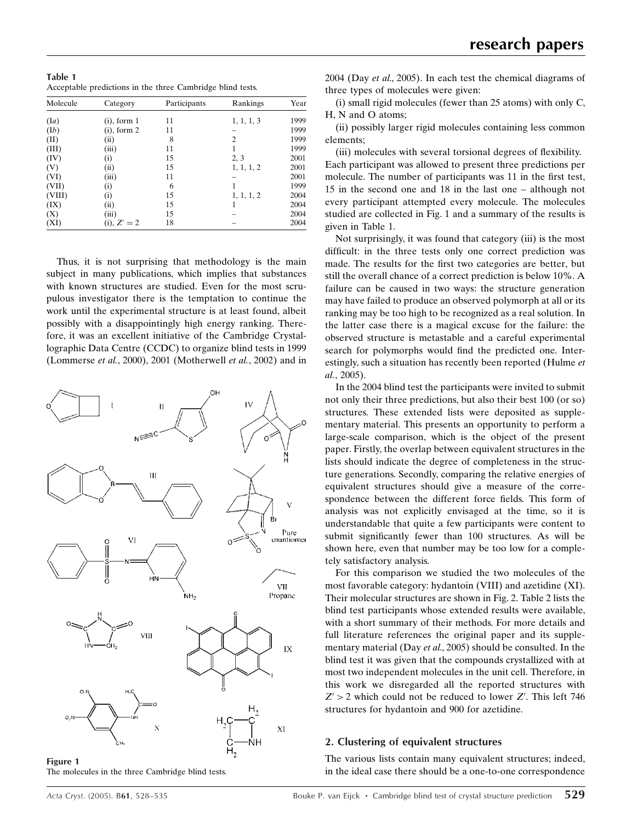Table 1 Acceptable predictions in the three Cambridge blind tests.

| Molecule | Category       | Participants | Rankings   | Year |
|----------|----------------|--------------|------------|------|
| (Ia)     | $(i)$ , form 1 | 11           | 1, 1, 1, 3 | 1999 |
| (Ib)     | $(i)$ , form 2 | 11           | -          | 1999 |
| (II)     | (ii)           | 8            | 2          | 1999 |
| (III)    | (iii)          | 11           |            | 1999 |
| (IV)     | (i)            | 15           | 2, 3       | 2001 |
| (V)      | (ii)           | 15           | 1, 1, 1, 2 | 2001 |
| (VI)     | (iii)          | 11           |            | 2001 |
| (VII)    | $\rm(i)$       | 6            |            | 1999 |
| (VIII)   | $\rm(i)$       | 15           | 1, 1, 1, 2 | 2004 |
| (IX)     | (ii)           | 15           | 1          | 2004 |
| (X)      | (iii)          | 15           |            | 2004 |
| (XI)     | $(i), Z' = 2$  | 18           |            | 2004 |

Thus, it is not surprising that methodology is the main subject in many publications, which implies that substances with known structures are studied. Even for the most scrupulous investigator there is the temptation to continue the work until the experimental structure is at least found, albeit possibly with a disappointingly high energy ranking. Therefore, it was an excellent initiative of the Cambridge Crystallographic Data Centre (CCDC) to organize blind tests in 1999 (Lommerse et al., 2000), 2001 (Motherwell et al., 2002) and in



The molecules in the three Cambridge blind tests.

2004 (Day et al., 2005). In each test the chemical diagrams of three types of molecules were given:

(i) small rigid molecules (fewer than 25 atoms) with only C, H, N and O atoms;

(ii) possibly larger rigid molecules containing less common elements;

(iii) molecules with several torsional degrees of flexibility. Each participant was allowed to present three predictions per molecule. The number of participants was 11 in the first test, 15 in the second one and 18 in the last one – although not every participant attempted every molecule. The molecules studied are collected in Fig. 1 and a summary of the results is given in Table 1.

Not surprisingly, it was found that category (iii) is the most difficult: in the three tests only one correct prediction was made. The results for the first two categories are better, but still the overall chance of a correct prediction is below 10%. A failure can be caused in two ways: the structure generation may have failed to produce an observed polymorph at all or its ranking may be too high to be recognized as a real solution. In the latter case there is a magical excuse for the failure: the observed structure is metastable and a careful experimental search for polymorphs would find the predicted one. Interestingly, such a situation has recently been reported (Hulme et al., 2005).

In the 2004 blind test the participants were invited to submit not only their three predictions, but also their best 100 (or so) structures. These extended lists were deposited as supplementary material. This presents an opportunity to perform a large-scale comparison, which is the object of the present paper. Firstly, the overlap between equivalent structures in the lists should indicate the degree of completeness in the structure generations. Secondly, comparing the relative energies of equivalent structures should give a measure of the correspondence between the different force fields. This form of analysis was not explicitly envisaged at the time, so it is understandable that quite a few participants were content to submit significantly fewer than 100 structures. As will be shown here, even that number may be too low for a completely satisfactory analysis.

For this comparison we studied the two molecules of the most favorable category: hydantoin (VIII) and azetidine (XI). Their molecular structures are shown in Fig. 2. Table 2 lists the blind test participants whose extended results were available, with a short summary of their methods. For more details and full literature references the original paper and its supplementary material (Day et al., 2005) should be consulted. In the blind test it was given that the compounds crystallized with at most two independent molecules in the unit cell. Therefore, in this work we disregarded all the reported structures with  $Z' > 2$  which could not be reduced to lower Z'. This left 746 structures for hydantoin and 900 for azetidine.

#### 2. Clustering of equivalent structures

The various lists contain many equivalent structures; indeed, in the ideal case there should be a one-to-one correspondence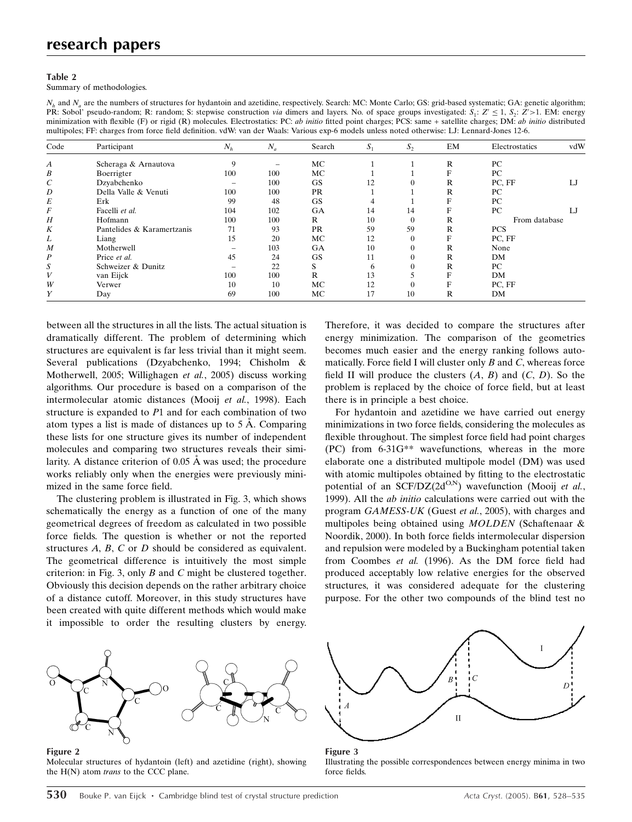#### Table 2

Summary of methodologies.

 $N_h$  and  $N_a$  are the numbers of structures for hydantoin and azetidine, respectively. Search: MC: Monte Carlo; GS: grid-based systematic; GA: genetic algorithm; PR: Sobol' pseudo-random; R: random; S: stepwise construction *via* dimers and layers. No. of space groups investigated:  $S_1$ :  $Z' \le 1$ ,  $S_2$ :  $Z' > 1$ . EM: energy minimization with flexible (F) or rigid (R) molecules. Electrostatics: PC: ab initio fitted point charges; PCS: same + satellite charges; DM: ab initio distributed multipoles; FF: charges from force field definition. vdW: van der Waals: Various exp-6 models unless noted otherwise: LJ: Lennard-Jones 12-6.

| Code             | Participant                | $N_h$ | $N_a$ | Search    | $S_{1}$ | $S_{\gamma}$ | EM           | Electrostatics | vdW |
|------------------|----------------------------|-------|-------|-----------|---------|--------------|--------------|----------------|-----|
| A                | Scheraga & Arnautova       | 9     |       | МC        |         |              | R            | PC.            |     |
| B                | Boerrigter                 | 100   | 100   | МC        |         |              | F            | PC             |     |
| C                | Dzyabchenko                |       | 100   | GS        | 12      |              | R            | PC, FF         |     |
| D                | Della Valle & Venuti       | 100   | 100   | <b>PR</b> |         |              | R            | PC             |     |
| E                | Erk                        | 99    | 48    | <b>GS</b> | 4       |              | F            | PC             |     |
| F                | Facelli et al.             | 104   | 102   | GA        | 14      | 14           | F            | PC             |     |
| Н                | Hofmann                    | 100   | 100   | R         | 10      |              | R            | From database  |     |
| Κ                | Pantelides & Karamertzanis | 71    | 93    | <b>PR</b> | 59      | 59           | R            | <b>PCS</b>     |     |
| L                | Liang                      | 15    | 20    | МC        | 12      | $\Omega$     | F            | PC, FF         |     |
| $\boldsymbol{M}$ | Motherwell                 |       | 103   | <b>GA</b> | 10      |              | $\mathbb{R}$ | None           |     |
| P                | Price et al.               | 45    | 24    | <b>GS</b> | 11      |              | $\mathbb{R}$ | DM             |     |
| S                | Schweizer & Dunitz         |       | 22    | S         | 6       |              | R            | PC             |     |
| $\boldsymbol{V}$ | van Eijck                  | 100   | 100   | R         | 13      |              | F            | DM             |     |
| W                | Verwer                     | 10    | 10    | МC        | 12      |              | F            | PC, FF         |     |
| Y                | Day                        | 69    | 100   | МC        | 17      | 10           | R            | DM             |     |

between all the structures in all the lists. The actual situation is dramatically different. The problem of determining which structures are equivalent is far less trivial than it might seem. Several publications (Dzyabchenko, 1994; Chisholm & Motherwell, 2005; Willighagen et al., 2005) discuss working algorithms. Our procedure is based on a comparison of the intermolecular atomic distances (Mooij et al., 1998). Each structure is expanded to P1 and for each combination of two atom types a list is made of distances up to  $5 \text{ Å}$ . Comparing these lists for one structure gives its number of independent molecules and comparing two structures reveals their similarity. A distance criterion of  $0.05 \text{ Å}$  was used; the procedure works reliably only when the energies were previously minimized in the same force field.

The clustering problem is illustrated in Fig. 3, which shows schematically the energy as a function of one of the many geometrical degrees of freedom as calculated in two possible force fields. The question is whether or not the reported structures A, B, C or D should be considered as equivalent. The geometrical difference is intuitively the most simple criterion: in Fig. 3, only  $B$  and  $C$  might be clustered together. Obviously this decision depends on the rather arbitrary choice of a distance cutoff. Moreover, in this study structures have been created with quite different methods which would make it impossible to order the resulting clusters by energy.

Figure 2

Molecular structures of hydantoin (left) and azetidine (right), showing the  $H(N)$  atom *trans* to the CCC plane.

Therefore, it was decided to compare the structures after energy minimization. The comparison of the geometries becomes much easier and the energy ranking follows automatically. Force field I will cluster only  $B$  and  $C$ , whereas force field II will produce the clusters  $(A, B)$  and  $(C, D)$ . So the problem is replaced by the choice of force field, but at least there is in principle a best choice.

For hydantoin and azetidine we have carried out energy minimizations in two force fields, considering the molecules as flexible throughout. The simplest force field had point charges (PC) from 6-31G\*\* wavefunctions, whereas in the more elaborate one a distributed multipole model (DM) was used with atomic multipoles obtained by fitting to the electrostatic potential of an SCF/DZ( $2d^{O,N}$ ) wavefunction (Mooij et al., 1999). All the ab initio calculations were carried out with the program GAMESS-UK (Guest et al., 2005), with charges and multipoles being obtained using MOLDEN (Schaftenaar & Noordik, 2000). In both force fields intermolecular dispersion and repulsion were modeled by a Buckingham potential taken from Coombes et al. (1996). As the DM force field had produced acceptably low relative energies for the observed structures, it was considered adequate for the clustering purpose. For the other two compounds of the blind test no



Figure 3 Illustrating the possible correspondences between energy minima in two force fields.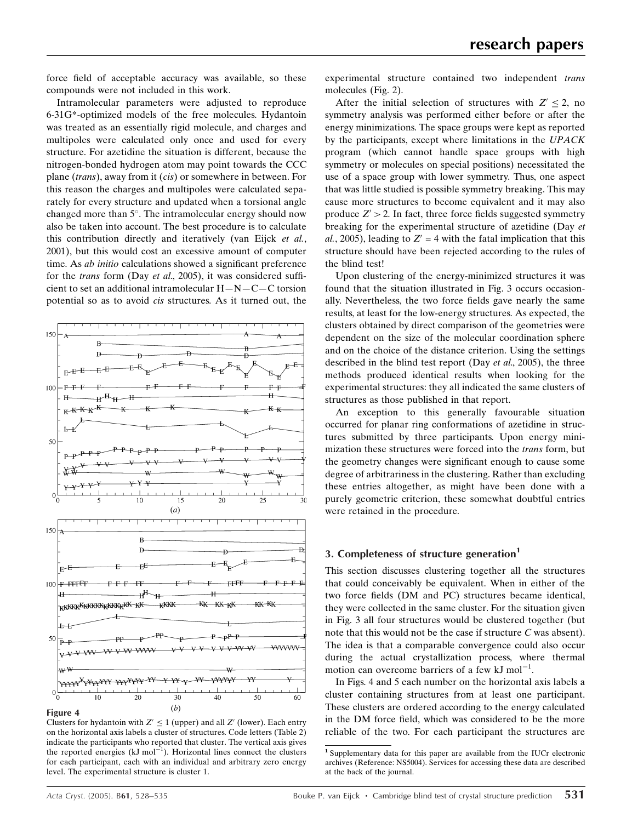force field of acceptable accuracy was available, so these compounds were not included in this work.

Intramolecular parameters were adjusted to reproduce 6-31G\*-optimized models of the free molecules. Hydantoin was treated as an essentially rigid molecule, and charges and multipoles were calculated only once and used for every structure. For azetidine the situation is different, because the nitrogen-bonded hydrogen atom may point towards the CCC plane (trans), away from it (cis) or somewhere in between. For this reason the charges and multipoles were calculated separately for every structure and updated when a torsional angle changed more than  $5^\circ$ . The intramolecular energy should now also be taken into account. The best procedure is to calculate this contribution directly and iteratively (van Eijck et al., 2001), but this would cost an excessive amount of computer time. As ab initio calculations showed a significant preference for the *trans* form (Day *et al.*, 2005), it was considered sufficient to set an additional intramolecular H—N—C—C torsion potential so as to avoid cis structures. As it turned out, the

 $150$ Ð  $100$  $H$ <sup>H</sup>  $50$  $10$  $15$  $20$  $25$  $30$  $(a)$ 150  $\overline{B}$  $\overline{D}$ 니  $100$   $\text{F}$  FF ୷⊬ ΨH Ҡ<del>ҞҜҜҜ<sub>Ҟ</sub>ҜҠҠҜҜҜ<sup>Ҝ</sup>ҜҠҠ<sup>Ҝ</sup>Ҝ</del> КK  $KK$ <sub>K</sub>K кк—Кк 50 **VAAAAA**  $10$ 20 30  $40$ 50  $(b)$ Figure 4

Clusters for hydantoin with  $Z' \le 1$  (upper) and all Z' (lower). Each entry on the horizontal axis labels a cluster of structures. Code letters (Table 2) indicate the participants who reported that cluster. The vertical axis gives the reported energies (kJ mol<sup>-1</sup>). Horizontal lines connect the clusters for each participant, each with an individual and arbitrary zero energy level. The experimental structure is cluster 1.

experimental structure contained two independent *trans* molecules (Fig. 2).

After the initial selection of structures with  $Z' < 2$ , no symmetry analysis was performed either before or after the energy minimizations. The space groups were kept as reported by the participants, except where limitations in the UPACK program (which cannot handle space groups with high symmetry or molecules on special positions) necessitated the use of a space group with lower symmetry. Thus, one aspect that was little studied is possible symmetry breaking. This may cause more structures to become equivalent and it may also produce  $Z' > 2$ . In fact, three force fields suggested symmetry breaking for the experimental structure of azetidine (Day et al., 2005), leading to  $Z' = 4$  with the fatal implication that this structure should have been rejected according to the rules of the blind test!

Upon clustering of the energy-minimized structures it was found that the situation illustrated in Fig. 3 occurs occasionally. Nevertheless, the two force fields gave nearly the same results, at least for the low-energy structures. As expected, the clusters obtained by direct comparison of the geometries were dependent on the size of the molecular coordination sphere and on the choice of the distance criterion. Using the settings described in the blind test report (Day et al., 2005), the three methods produced identical results when looking for the experimental structures: they all indicated the same clusters of structures as those published in that report.

An exception to this generally favourable situation occurred for planar ring conformations of azetidine in structures submitted by three participants. Upon energy minimization these structures were forced into the trans form, but the geometry changes were significant enough to cause some degree of arbitrariness in the clustering. Rather than excluding these entries altogether, as might have been done with a purely geometric criterion, these somewhat doubtful entries were retained in the procedure.

## 3. Completeness of structure generation<sup>1</sup>

This section discusses clustering together all the structures that could conceivably be equivalent. When in either of the two force fields (DM and PC) structures became identical, they were collected in the same cluster. For the situation given in Fig. 3 all four structures would be clustered together (but note that this would not be the case if structure C was absent). The idea is that a comparable convergence could also occur during the actual crystallization process, where thermal motion can overcome barriers of a few  $kJ \text{ mol}^{-1}$ .

In Figs. 4 and 5 each number on the horizontal axis labels a cluster containing structures from at least one participant. These clusters are ordered according to the energy calculated in the DM force field, which was considered to be the more reliable of the two. For each participant the structures are

<sup>1</sup> Supplementary data for this paper are available from the IUCr electronic archives (Reference: NS5004). Services for accessing these data are described at the back of the journal.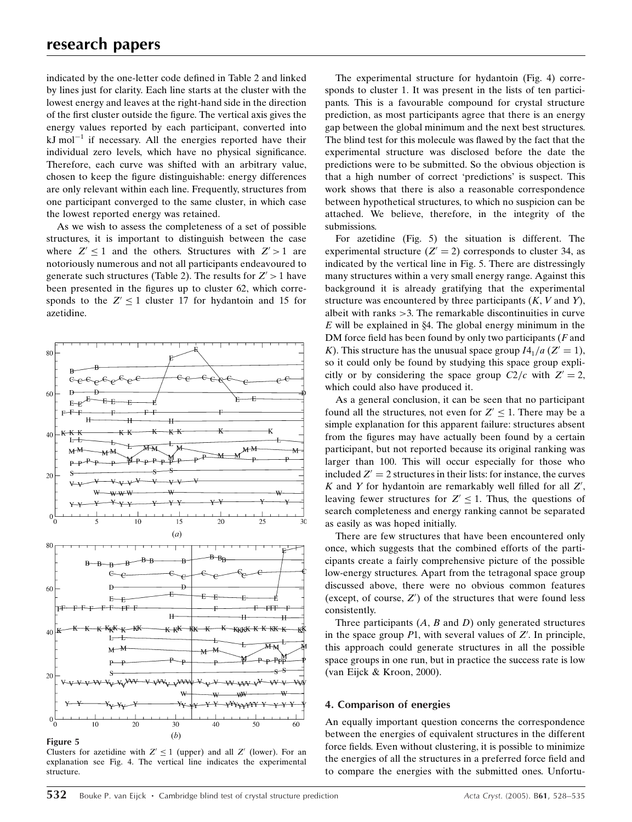indicated by the one-letter code defined in Table 2 and linked by lines just for clarity. Each line starts at the cluster with the lowest energy and leaves at the right-hand side in the direction of the first cluster outside the figure. The vertical axis gives the energy values reported by each participant, converted into  $kJ \text{ mol}^{-1}$  if necessary. All the energies reported have their individual zero levels, which have no physical significance. Therefore, each curve was shifted with an arbitrary value, chosen to keep the figure distinguishable: energy differences are only relevant within each line. Frequently, structures from one participant converged to the same cluster, in which case the lowest reported energy was retained.

As we wish to assess the completeness of a set of possible structures, it is important to distinguish between the case where  $Z' \leq 1$  and the others. Structures with  $Z' > 1$  are notoriously numerous and not all participants endeavoured to generate such structures (Table 2). The results for  $Z' > 1$  have been presented in the figures up to cluster 62, which corresponds to the  $Z' \leq 1$  cluster 17 for hydantoin and 15 for azetidine.



Figure 5

Clusters for azetidine with  $Z' \leq 1$  (upper) and all Z' (lower). For an explanation see Fig. 4. The vertical line indicates the experimental structure.

The experimental structure for hydantoin (Fig. 4) corresponds to cluster 1. It was present in the lists of ten participants. This is a favourable compound for crystal structure prediction, as most participants agree that there is an energy gap between the global minimum and the next best structures. The blind test for this molecule was flawed by the fact that the experimental structure was disclosed before the date the predictions were to be submitted. So the obvious objection is that a high number of correct 'predictions' is suspect. This work shows that there is also a reasonable correspondence between hypothetical structures, to which no suspicion can be attached. We believe, therefore, in the integrity of the submissions.

For azetidine (Fig. 5) the situation is different. The experimental structure  $(Z' = 2)$  corresponds to cluster 34, as indicated by the vertical line in Fig. 5. There are distressingly many structures within a very small energy range. Against this background it is already gratifying that the experimental structure was encountered by three participants  $(K, V, V)$ , albeit with ranks >3. The remarkable discontinuities in curve  $E$  will be explained in §4. The global energy minimum in the DM force field has been found by only two participants ( $F$  and K). This structure has the unusual space group  $I4_1/a$  ( $Z' = 1$ ), so it could only be found by studying this space group explicitly or by considering the space group  $C2/c$  with  $Z'=2$ , which could also have produced it.

As a general conclusion, it can be seen that no participant found all the structures, not even for  $Z' \leq 1$ . There may be a simple explanation for this apparent failure: structures absent from the figures may have actually been found by a certain participant, but not reported because its original ranking was larger than 100. This will occur especially for those who included  $Z' = 2$  structures in their lists: for instance, the curves  $K$  and  $Y$  for hydantoin are remarkably well filled for all  $Z'$ , leaving fewer structures for  $Z' \leq 1$ . Thus, the questions of search completeness and energy ranking cannot be separated as easily as was hoped initially.

There are few structures that have been encountered only once, which suggests that the combined efforts of the participants create a fairly comprehensive picture of the possible low-energy structures. Apart from the tetragonal space group discussed above, there were no obvious common features (except, of course,  $Z'$ ) of the structures that were found less consistently.

Three participants  $(A, B \text{ and } D)$  only generated structures in the space group  $P1$ , with several values of  $Z'$ . In principle, this approach could generate structures in all the possible space groups in one run, but in practice the success rate is low (van Eijck & Kroon, 2000).

#### 4. Comparison of energies

An equally important question concerns the correspondence between the energies of equivalent structures in the different force fields. Even without clustering, it is possible to minimize the energies of all the structures in a preferred force field and to compare the energies with the submitted ones. Unfortu-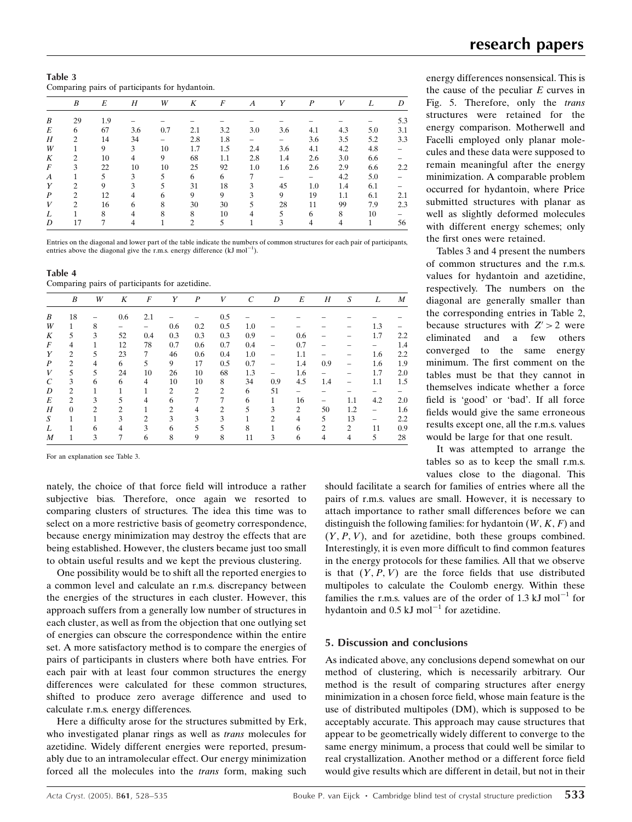Table 3 Comparing pairs of participants for hydantoin.

|                  | B            | E   | H              | W                        | K   | $\boldsymbol{F}$ | $\boldsymbol{A}$         | Y                        | $\boldsymbol{P}$ | V              | L            | D                        |
|------------------|--------------|-----|----------------|--------------------------|-----|------------------|--------------------------|--------------------------|------------------|----------------|--------------|--------------------------|
| B                | 29           | 1.9 |                |                          |     |                  |                          |                          |                  |                |              | 5.3                      |
| E                | 6            | 67  | 3.6            | 0.7                      | 2.1 | 3.2              | 3.0                      | 3.6                      | 4.1              | 4.3            | 5.0          | 3.1                      |
| H                | 2            | 14  | 34             | $\overline{\phantom{0}}$ | 2.8 | 1.8              | $\overline{\phantom{0}}$ | $\overline{\phantom{0}}$ | 3.6              | 3.5            | 5.2          | 3.3                      |
| W                | $\mathbf{1}$ | 9   | 3              | 10                       | 1.7 | 1.5              | 2.4                      | 3.6                      | 4.1              | 4.2            | 4.8          | $\overline{\phantom{0}}$ |
| K                | 2            | 10  | $\overline{4}$ | 9                        | 68  | 1.1              | 2.8                      | 1.4                      | 2.6              | 3.0            | 6.6          | $\equiv$                 |
| F                | 3            | 22  | 10             | 10                       | 25  | 92               | 1.0                      | 1.6                      | 2.6              | 2.9            | 6.6          | 2.2                      |
| $\boldsymbol{A}$ | $\mathbf{1}$ | 5   | 3              | 5                        | 6   | 6                | $7^{\circ}$              | $\equiv$                 | $-$              | 4.2            | 5.0          | $\overline{\phantom{0}}$ |
| Y                | 2            | 9   | 3              | 5                        | 31  | 18               | 3                        | 45                       | 1.0              | 1.4            | 6.1          | $\equiv$                 |
| $\boldsymbol{P}$ | 2            | 12  | $\overline{4}$ | 6                        | 9   | 9                | 3                        | 9                        | 19               | 1.1            | 6.1          | 2.1                      |
| V                | 2            | 16  | 6              | 8                        | 30  | 30               | 5                        | 28                       | 11               | 99             | 7.9          | 2.3                      |
| L                | $\mathbf{1}$ | 8   | $\overline{4}$ | 8                        | 8   | 10               | $\overline{4}$           | 5                        | 6                | 8              | 10           | $\equiv$                 |
| D                | 17           | 7   | $\overline{4}$ | 1                        | 2   | 5                | $\mathbf{1}$             | 3                        | $\overline{4}$   | $\overline{4}$ | $\mathbf{1}$ | 56                       |

Entries on the diagonal and lower part of the table indicate the numbers of common structures for each pair of participants, entries above the diagonal give the r.m.s. energy difference ( $kJ \text{ mol}^{-1}$ ).

#### Table 4

Comparing pairs of participants for azetidine.

|                             | B              | W                        | K              | F              | Y                        | $\boldsymbol{P}$ | V              | C            | D                        | E              | H                        | S                        | L                        | M                        |
|-----------------------------|----------------|--------------------------|----------------|----------------|--------------------------|------------------|----------------|--------------|--------------------------|----------------|--------------------------|--------------------------|--------------------------|--------------------------|
| B                           | 18             | $\overline{\phantom{m}}$ | 0.6            | 2.1            | $\overline{\phantom{a}}$ | $-$              | 0.5            |              |                          |                |                          |                          |                          |                          |
| W                           | $\mathbf{1}$   | 8                        | $-$            | $-$            | 0.6                      | 0.2              | 0.5            | 1.0          | $\overline{\phantom{0}}$ |                |                          |                          | 1.3                      |                          |
| K                           | 5              | 3                        | 52             | 0.4            | 0.3                      | 0.3              | 0.3            | 0.9          | $\overline{\phantom{0}}$ | 0.6            | -                        |                          | 1.7                      | 2.2                      |
| F                           | $\overline{4}$ | $\mathbf{1}$             | 12             | 78             | 0.7                      | 0.6              | 0.7            | 0.4          | $\overline{\phantom{a}}$ | 0.7            | $\overline{\phantom{0}}$ |                          | $-$                      | 1.4                      |
| Y                           | 2              | 5                        | 23             | $\tau$         | 46                       | 0.6              | 0.4            | 1.0          | $\overline{\phantom{0}}$ | 1.1            | $\overline{\phantom{0}}$ |                          | 1.6                      | 2.2                      |
| $\boldsymbol{P}$            | $\overline{2}$ | $\overline{4}$           | 6              | 5              | 9                        | 17               | 0.5            | 0.7          | $\overline{\phantom{0}}$ | 1.4            | 0.9                      | $\overline{\phantom{0}}$ | 1.6                      | 1.9                      |
| $\boldsymbol{V}$            | 5              | 5                        | 24             | 10             | 26                       | 10               | 68             | 1.3          | $\overline{\phantom{a}}$ | 1.6            | $\overline{\phantom{0}}$ | $\overline{\phantom{0}}$ | 1.7                      | 2.0                      |
| $\mathcal{C}_{\mathcal{C}}$ | 3              | 6                        | 6              | $\overline{4}$ | 10                       | 10               | 8              | 34           | 0.9                      | 4.5            | 1.4                      | $\qquad \qquad -$        | 1.1                      | 1.5                      |
| D                           | 2              | $\mathbf{1}$             | $\mathbf{1}$   | $\mathbf{1}$   | $\overline{2}$           | $\mathfrak{2}$   | $\overline{2}$ | 6            | 51                       | $\equiv$       |                          |                          |                          | $\overline{\phantom{0}}$ |
| E                           | 2              | 3                        | 5              | $\overline{4}$ | 6                        | $\overline{7}$   | $\tau$         | 6            | $\mathbf{1}$             | 16             | $\overline{\phantom{0}}$ | 1.1                      | 4.2                      | 2.0                      |
| H                           | $\mathbf{0}$   | $\overline{c}$           | 2              | $\mathbf{1}$   | 2                        | $\overline{4}$   | 2              | 5            | 3                        | $\overline{2}$ | 50                       | 1.2                      | $-$                      | 1.6                      |
| S                           | $\mathbf{1}$   | $\mathbf{1}$             | 3              | 2              | 3                        | 3                | 3              | $\mathbf{1}$ | 2                        | $\overline{4}$ | 5                        | 13                       | $\overline{\phantom{0}}$ | 2.2                      |
| L                           | $\mathbf{1}$   | 6                        | $\overline{4}$ | 3              | 6                        | 5                | 5              | 8            | $\mathbf{1}$             | 6              | 2                        | $\overline{2}$           | 11                       | 0.9                      |
| $\boldsymbol{M}$            | $\mathbf{1}$   | 3                        | $\overline{7}$ | 6              | 8                        | 9                | 8              | 11           | 3                        | 6              | $\overline{4}$           | $\overline{4}$           | 5                        | 28                       |
|                             |                |                          |                |                |                          |                  |                |              |                          |                |                          |                          |                          |                          |

For an explanation see Table 3.

nately, the choice of that force field will introduce a rather subjective bias. Therefore, once again we resorted to comparing clusters of structures. The idea this time was to select on a more restrictive basis of geometry correspondence, because energy minimization may destroy the effects that are being established. However, the clusters became just too small to obtain useful results and we kept the previous clustering.

One possibility would be to shift all the reported energies to a common level and calculate an r.m.s. discrepancy between the energies of the structures in each cluster. However, this approach suffers from a generally low number of structures in each cluster, as well as from the objection that one outlying set of energies can obscure the correspondence within the entire set. A more satisfactory method is to compare the energies of pairs of participants in clusters where both have entries. For each pair with at least four common structures the energy differences were calculated for these common structures, shifted to produce zero average difference and used to calculate r.m.s. energy differences.

Here a difficulty arose for the structures submitted by Erk, who investigated planar rings as well as trans molecules for azetidine. Widely different energies were reported, presumably due to an intramolecular effect. Our energy minimization forced all the molecules into the trans form, making such energy differences nonsensical. This is the cause of the peculiar  $E$  curves in Fig. 5. Therefore, only the trans structures were retained for the energy comparison. Motherwell and Facelli employed only planar molecules and these data were supposed to remain meaningful after the energy minimization. A comparable problem occurred for hydantoin, where Price submitted structures with planar as well as slightly deformed molecules with different energy schemes; only the first ones were retained.

Tables 3 and 4 present the numbers of common structures and the r.m.s. values for hydantoin and azetidine, respectively. The numbers on the diagonal are generally smaller than the corresponding entries in Table 2, because structures with  $Z' > 2$  were eliminated and a few others converged to the same energy minimum. The first comment on the tables must be that they cannot in themselves indicate whether a force field is 'good' or 'bad'. If all force fields would give the same erroneous results except one, all the r.m.s. values would be large for that one result.

It was attempted to arrange the tables so as to keep the small r.m.s. values close to the diagonal. This

should facilitate a search for families of entries where all the pairs of r.m.s. values are small. However, it is necessary to attach importance to rather small differences before we can distinguish the following families: for hydantoin  $(W, K, F)$  and  $(Y, P, V)$ , and for azetidine, both these groups combined. Interestingly, it is even more difficult to find common features in the energy protocols for these families. All that we observe is that  $(Y, P, V)$  are the force fields that use distributed multipoles to calculate the Coulomb energy. Within these families the r.m.s. values are of the order of  $1.3 \text{ kJ mol}^{-1}$  for hydantoin and  $0.5$  kJ mol<sup>-1</sup> for azetidine.

## 5. Discussion and conclusions

As indicated above, any conclusions depend somewhat on our method of clustering, which is necessarily arbitrary. Our method is the result of comparing structures after energy minimization in a chosen force field, whose main feature is the use of distributed multipoles (DM), which is supposed to be acceptably accurate. This approach may cause structures that appear to be geometrically widely different to converge to the same energy minimum, a process that could well be similar to real crystallization. Another method or a different force field would give results which are different in detail, but not in their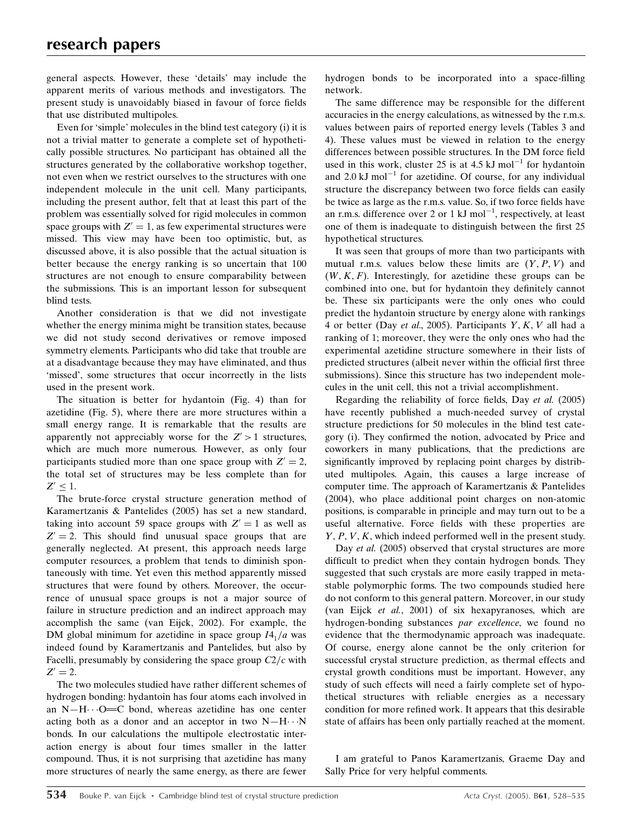general aspects. However, these 'details' may include the apparent merits of various methods and investigators. The present study is unavoidably biased in favour of force fields that use distributed multipoles.

Even for 'simple' molecules in the blind test category (i) it is not a trivial matter to generate a complete set of hypothetically possible structures. No participant has obtained all the structures generated by the collaborative workshop together, not even when we restrict ourselves to the structures with one independent molecule in the unit cell. Many participants, including the present author, felt that at least this part of the problem was essentially solved for rigid molecules in common space groups with  $Z' = 1$ , as few experimental structures were missed. This view may have been too optimistic, but, as discussed above, it is also possible that the actual situation is better because the energy ranking is so uncertain that 100 structures are not enough to ensure comparability between the submissions. This is an important lesson for subsequent blind tests.

Another consideration is that we did not investigate whether the energy minima might be transition states, because we did not study second derivatives or remove imposed symmetry elements. Participants who did take that trouble are at a disadvantage because they may have eliminated, and thus 'missed', some structures that occur incorrectly in the lists used in the present work.

The situation is better for hydantoin (Fig. 4) than for azetidine (Fig. 5), where there are more structures within a small energy range. It is remarkable that the results are apparently not appreciably worse for the  $Z' > 1$  structures, which are much more numerous. However, as only four participants studied more than one space group with  $Z' = 2$ , the total set of structures may be less complete than for  $Z' < 1$ .

The brute-force crystal structure generation method of Karamertzanis & Pantelides (2005) has set a new standard, taking into account 59 space groups with  $Z' = 1$  as well as  $Z' = 2$ . This should find unusual space groups that are generally neglected. At present, this approach needs large computer resources, a problem that tends to diminish spontaneously with time. Yet even this method apparently missed structures that were found by others. Moreover, the occurrence of unusual space groups is not a major source of failure in structure prediction and an indirect approach may accomplish the same (van Eijck, 2002). For example, the DM global minimum for azetidine in space group  $I4_1/a$  was indeed found by Karamertzanis and Pantelides, but also by Facelli, presumably by considering the space group  $C2/c$  with  $Z'=2$ .

The two molecules studied have rather different schemes of hydrogen bonding: hydantoin has four atoms each involved in an  $N-H\cdots O=C$  bond, whereas azetidine has one center acting both as a donor and an acceptor in two  $N-H\cdots N$ bonds. In our calculations the multipole electrostatic interaction energy is about four times smaller in the latter compound. Thus, it is not surprising that azetidine has many more structures of nearly the same energy, as there are fewer hydrogen bonds to be incorporated into a space-filling network.

The same difference may be responsible for the different accuracies in the energy calculations, as witnessed by the r.m.s. values between pairs of reported energy levels (Tables 3 and 4). These values must be viewed in relation to the energy differences between possible structures. In the DM force field used in this work, cluster 25 is at 4.5 kJ mol<sup>-1</sup> for hydantoin and 2.0 kJ mol<sup> $-1$ </sup> for azetidine. Of course, for any individual structure the discrepancy between two force fields can easily be twice as large as the r.m.s. value. So, if two force fields have an r.m.s. difference over 2 or 1 kJ mol<sup>-1</sup>, respectively, at least one of them is inadequate to distinguish between the first 25 hypothetical structures.

It was seen that groups of more than two participants with mutual r.m.s. values below these limits are  $(Y, P, V)$  and  $(W, K, F)$ . Interestingly, for azetidine these groups can be combined into one, but for hydantoin they definitely cannot be. These six participants were the only ones who could predict the hydantoin structure by energy alone with rankings 4 or better (Day et al., 2005). Participants  $Y, K, V$  all had a ranking of 1; moreover, they were the only ones who had the experimental azetidine structure somewhere in their lists of predicted structures (albeit never within the official first three submissions). Since this structure has two independent molecules in the unit cell, this not a trivial accomplishment.

Regarding the reliability of force fields, Day et al. (2005) have recently published a much-needed survey of crystal structure predictions for 50 molecules in the blind test category (i). They confirmed the notion, advocated by Price and coworkers in many publications, that the predictions are significantly improved by replacing point charges by distributed multipoles. Again, this causes a large increase of computer time. The approach of Karamertzanis & Pantelides (2004), who place additional point charges on non-atomic positions, is comparable in principle and may turn out to be a useful alternative. Force fields with these properties are  $Y, P, V, K$ , which indeed performed well in the present study.

Day et al. (2005) observed that crystal structures are more difficult to predict when they contain hydrogen bonds. They suggested that such crystals are more easily trapped in metastable polymorphic forms. The two compounds studied here do not conform to this general pattern. Moreover, in our study (van Eijck et al., 2001) of six hexapyranoses, which are hydrogen-bonding substances par excellence, we found no evidence that the thermodynamic approach was inadequate. Of course, energy alone cannot be the only criterion for successful crystal structure prediction, as thermal effects and crystal growth conditions must be important. However, any study of such effects will need a fairly complete set of hypothetical structures with reliable energies as a necessary condition for more refined work. It appears that this desirable state of affairs has been only partially reached at the moment.

I am grateful to Panos Karamertzanis, Graeme Day and Sally Price for very helpful comments.